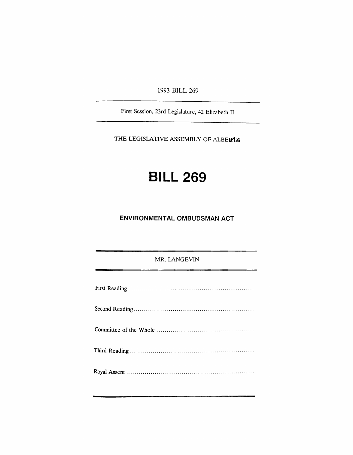1993 BILL 269

First Session, 23rd Legislature, 42 Elizabeth II

THE LEGISLATIVE ASSEMBLY OF ALBERTA

## **BILL 269**

## **ENVIRONMENTAL OMBUDSMAN ACT**

MR. LANGEVIN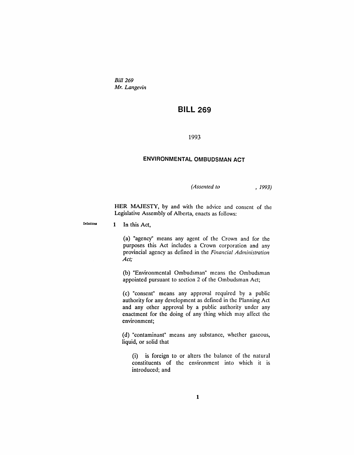*Bill 269 Mr. Langevin*

## **BILL 269**

1993

## **ENVIRONMENTAL OMBUDSMAN ACT**

*(Assented to* , 1993)

HER MAJESTY, by and with the advice and consent of the Legislative Assembly of Alberta, enacts as follows:

Definitions

1 In this Act,

(a) "agency" means any agent of the Crown and for the purposes this Act includes a Crown corporation and any provincial agency as defined in the *Financial Administration Act;*

(b) "Environmental Ombudsman" means the Ombudsman appointed pursuant to section 2 of the Ombudsman Act;

(c) "consent" means any approval required by a public authority for any development as defined in the Planning Act and any other approval by a public authority under any enactment for the doing of any thing which may affect the environment;

(d) "contaminant" means any substance, whether gaseous, liquid, or solid that

(i) is foreign to or alters the balance of the natural constituents of the environment into which it is introduced; and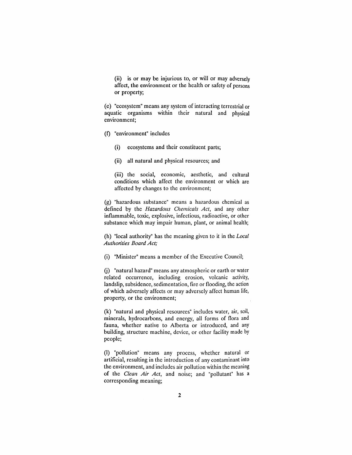(ii) is or may be injurious to, or will or may adversely affect, the environment or the health or safety of persons or property;

(e) "ecosystem" means any system of interacting terrestrial or aquatic organisms within their natural and physical environment;

- (f) "environment" includes
	- (i) ecosystems and their constituent parts;
	- (ii) all natural and physical resources; and

(iii) the social, economic, aesthetic, and cultural conditions which affect the environment or which are affected by changes to the environment;

(g) "hazardous substance" means a hazardous chemical as defined by the *Hazardous Chemicals Act,* and any other inflammable, toxic, explosive, infectious, radioactive, or other substance which may impair human, plant, or animal health;

(h) "local authority" has the meaning given to it in the *Local Authorities Board Act;*

(i) "Minister" means a member of the Executive Council;

(j) "natural hazard" means any atmospheric or earth or water related occurrence, including erosion, volcanic activity, landslip, subsidence, sedimentation, fire or flooding, the action of which adversely affects or may adversely affect human life, property, or the environment;

(k) "natural and physical resources" includes water, air, soil, minerals, hydrocarbons, and energy, all forms of flora and fauna, whether native to Alberta or introduced, and any building, structure machine, device, or other facility made by people;

(I) "pollution" means any process, whether natural or artificial, resulting in the introduction of any contaminant into the environment, and includes air pollution within the meaning of the *Clean Air Act,* and noise; and "pollutant" has a corresponding meaning;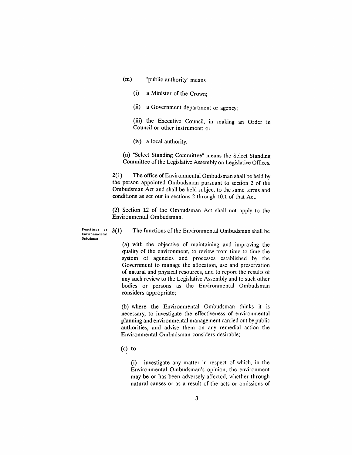- (m) "public authority" means
	- (i) a Minister of the Crown;
	- (ii) a Government department or agency;

(iii) the Executive Council, in making an Order in Council or other instrument; or

(iv) a local authority.

(n) "Select Standing Committee" means the Select Standing Committee of the Legislative Assembly on Legislative Offices.

2(1) The office of Environmental Ombudsman shall be held by the person appointed Ombudsman pursuant to section 2 of the Ombudsman Act and shall be held subject to the same terms and conditions as set out in sections 2 through 10.1 of that Act.

(2) Section 12 of the Ombudsman Act shall not apply to the Environmental Ombudsman.

Functions as  $3(1)$ Environmental Ombudsman

The functions of the Environmental Ombudsman shall be

(a) with the objective of maintaining and improving the quality of the environment, to review from time to time the system of agencies and processes established by the Government to manage the allocation, use and preservation of natural and physical resources, and to report the results of any such review to the Legislative Assembly and to such other bodies or persons as the Environmental Ombudsman considers appropriate;

(b) where the Environmental Ombudsman thinks it is necessary, to investigate the effectiveness of environmental planning and environmental management carried out by public authorities, and advise them on any remedial action the Environmental Ombudsman considers desirable;

(c) to

(i) investigate any matter in respect of which, in the Environmental Ombudsman's opinion, the environment may be or has been adversely affected, whether through natural causes or as a result of the acts or omissions of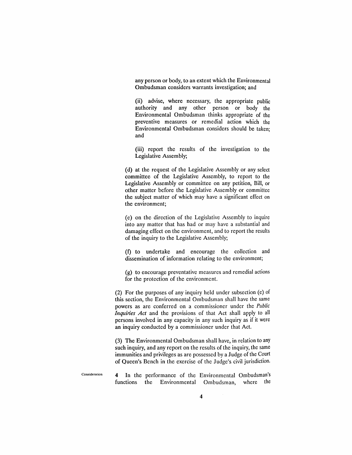any person or body, to an extent which the Environmental Ombudsman considers warrants investigation; and

(ii) advise, where necessary, the appropriate public authority and any other person or body the Environmental Ombudsman -thinks appropriate of the preventive measures or remedial action which the Environmental Ombudsman considers should be taken; and

(iii) report the results of the investigation to the Legislative Assembly;

(d) at the request of the Legislative Assembly or any select committee of the Legislative Assembly, to report to the Legislative Assembly or committee on any petition, Bill, or other matter before the Legislative Assembly or committee the subject matter of which may have a significant effect on the environment;

(e) on the direction of the Legislative Assembly to inquire into any matter that has had or may have a substantial and damaging effect on the environment, and to report the results of the inquiry to the Legislative Assembly;

(1) to undertake and encourage the collection and dissemination of information relating to the environment;

(g) to encourage preventative measures and remedial actions for the protection of the environment.

(2) For the purposes of any inquiry held under subsection (e) of this section, the Environmental Ombudsman shall have the same powers as are conferred on a commissioner under the *Public Inquiries Act* and the provisions of that Act shall apply to all persons involved in any capacity in any such inquiry as if it were an inquiry conducted by a commissioner under that Act.

(3) The Environmental Ombudsman shall have, in relation to any such inquiry, and any report on the results of the inquiry, the same immunities and privileges as are possessed by a Judge of the Court of Queen's Bench in the exercise of the Judge's civil jurisdiction.

Consideration 4 In the performance of the Environmental Ombudsman's functions the Environmental Ombudsman, where the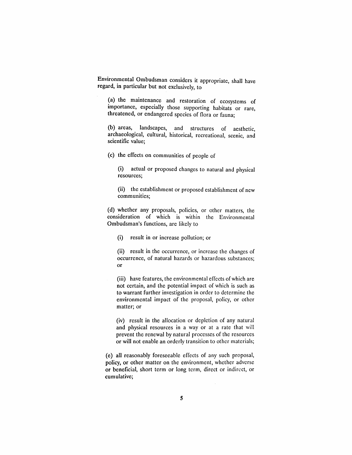Environmental Ombudsman considers it appropriate, shall have regard, in particular but not exclusively, to

(a) the maintenance and restoration of ecosystems of importance, especially those supporting habitats or rare, threatened, or endangered species of flora or fauna;

(b) areas, landscapes, and structures of aesthetic, archaeological, cultural, historical, recreational, scenic, and scientific value;

(c) the effects on communities of people of

(i) actual or proposed changes to natural and physical resources;

(ii) the establishment or proposed establishment of new communities;

(d) whether any proposals, policies, or other matters, the consideration of which is within the Environmental Ombudsman's functions, are likely to

(i) result in or increase pollution; or

(ii) result in the occurrence, or increase the changes of occurrence, of natural hazards or hazardous substances; or

(iii) have features, the environmental effects of which are not certain, and the potential impact of which is such as to warrant further investigation in order to determine the environmental impact of the proposal, policy, or other matter; or

(iv) result in the allocation or depletion of any natural and physical resources in a way or at a rate that will prevent the renewal by natural processes of the resources or will not enable an orderly transition to other materials;

(e) all reasonably foreseeable effects of any such proposal, policy, or other matter on the environment, whether adverse or beneficial, short term or long term, direct or indirect, or cumulative;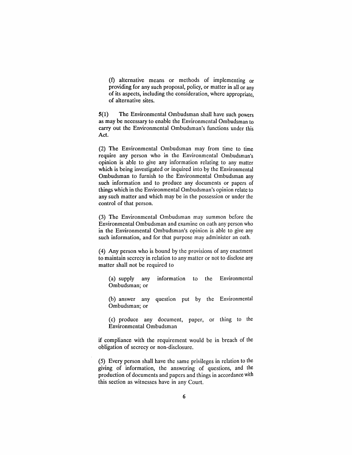(1) alternative means or methods of implementing or providing for any such proposal, policy, or matter in all or any of its aspects, including the consideration, where appropriate, of alternative sites.

5(1) The Environmental Ombudsman shall have such powers as may be necessary to enable the Environmental Ombudsman to carry out the Environmental Ombudsman's functions under this Act.

(2) The Environmental Ombudsman may from time to time require any person who in the Environmental Ombudsman's opinion is able to give any information relating to any matter which is being investigated or inquired into by the Environmental Ombudsman to furnish to the Environmental Ombudsman any such information and to produce any documents or papers of things which in the Environmental Ombudsman's opinion relate to any such matter and which may be in the possession or under the control of that person.

(3) The Environmental Ombudsman may summon before the Environmental Ombudsman and examine on oath any person who in the Environmental Ombudsman's opinion is able to give any such information, and for that purpose may administer an oath.

(4) Any person who is bound by the provisions of any enactment to maintain secrecy in relation to any matter or not to disclose any matter shall not be required to

(a) supply any information to the Environmental Ombudsman; or

(b) answer any question put by the Environmental Ombudsman; or

(c) produce any document, paper, or thing to the Environmental Ombudsman

if compliance with the requirement would be in breach of the obligation of secrecy or non-disclosure.

(5) Every person shall have the same privileges in relation to the giving of information, the answering of questions, and the production of documents and papers and things in accordance with this section as witnesses have in any Court.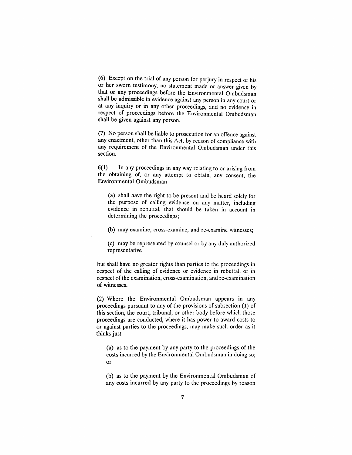(6) Except on the trial of any person for perjury in respect of his or her sworn testimony, no statement made or answer given by that or any proceedings before the Environmental Ombudsman shall be admissible in evidence against any person in any court or at any inquiry or in any other proceedings, and no evidence in respect of proceedings before the Environmental Ombudsman shall be given against any person.

(7) No person shall be liable to prosecution for an offence against any enactment, other than this Act, by reason of compliance with any requirement of the Environmental Ombudsman under this section.

6(1) In any proceedings in any way relating to or arising from the obtaining of, or any attempt to obtain, any consent, the Environmental Ombudsman

(a) shall have the right to be present and be heard solely for the purpose of calling evidence on any matter, including evidence in rebuttal, that should be taken in account in determining the proceedings;

(b) may examine, cross-examine, and re-examine witnesses;

(c) may be represented by counselor by any duly authorized representative

but shall have no greater rights than parties to the proceedings in respect of the calling of evidence or evidence in rebuttal, or in respect of the examination, cross-examination, and re-examination of witnesses.

(2) Where the Environmental Ombudsman appears in any proceedings pursuant to any of the provisions of subsection (1) of this section, the court, tribunal, or other body before which those proceedings are conducted, where it has power to award costs to or against parties to the proceedings, may make such order as it thinks just

(a) as to the payment by any party to the proceedings of the costs incurred by the Environmental Ombudsman in doing so; or

(b) as to the payment by the Environmental Ombudsman of any costs incurred by any party to the proceedings by reason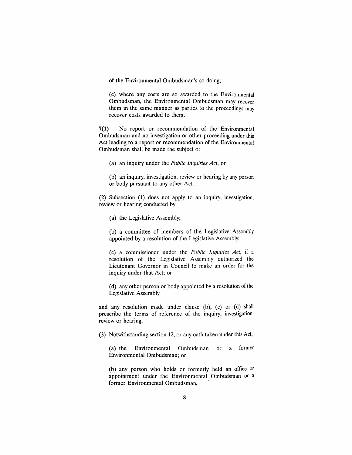of the Environmental Ombudsman's so doing;

(c) where any costs are so awarded to the Environmental Ombudsman, the Environmental Ombudsman may recover them in the same manner as parties to the proceedings may recover costs awarded to them.

7(1) No report or recommendation of the Environmental Ombudsman and no investigation or other proceeding under this Act leading to a report or recommendation of the Environmental Ombudsman shall be made the subject of

(a) an inquiry under the *Public Inqubies Act,* or

(b) an inquiry, investigation, review or hearing by any person or body pursuant to any other Act.

(2) Subsection (1) does not apply to an inquiry, investigation, review or hearing conducted by

(a) the Legislative Assembly;

(b) a committee of members of the Legislative Assembly appointed by a resolution of the Legislative Assembly;

(c) a commissioner under the *Public Inquiries Act,* if a resolution of the Legislative Assembly authorized the Lieutenant Governor in Council to make an order for the inquiry under that Act; or

(d) any other person or body appointed by a resolution of the Legislative Assembly

and any resolution made under clause (b), (c) or (d) shall prescribe the terms of reference of the inquiry, investigation, review or hearing.

(3) Notwithstanding section 12, or any oath taken under this Act,

(a) the Environmental Ombudsman or a former Environmental Ombudsman; or

(b) any person who holds or formerly held an office or appointment under the Environmental Ombudsman or a former Environmental Ombudsman,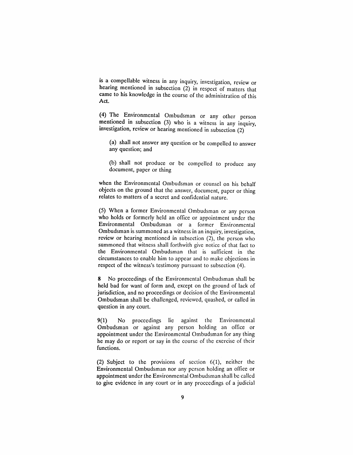is a compellable witness in any inquiry, investigation, review or hearing mentioned in subsection (2) in respect of matters that came to his knowledge in the course of the administration of this Act.

(4) The Environmental Ombudsman or any other person mentioned in subsection (3) who is a witness in any inquiry, investigation, review or hearing mentioned in subsection (2)

(a) shall not answer any question or be compelled to answer any question; and

(b) shall not produce or be compelled to produce any document, paper or thing

when the Environmental Ombudsman or counsel on his behalf objects on the ground that the answer, document, paper or thing relates to matters of a secret and confidential nature.

(5) When a former Environmental Ombudsman or any person who holds or formerly held an office or appointment under the Environmental Ombudsman or a former Environmental Ombudsman is summoned as a witness in an inquiry, investigation, review or hearing mentioned in subsection (2), the person who summoned that witness shall forthwith give notice of that fact to the Environmental Ombudsman that is sufficient in the circumstances to enable him to appear and to make objections in respect of the witness's testimony pursuant to subsection (4).

8 No proceedings of the Environmental Ombudsman shall be held bad for want of form and, except on the ground of lack of jurisdiction, and no proceedings or decision of the Environmental Ombudsman shall be challenged, reviewed, quashed, or called in question in any court.

9(1) No proceedings lie against the Environmental Ombudsman or against any person holding an office or appointment under the Environmental Ombudsman for any thing he may do or report or say in the course of the exercise of their functions.

(2) Subject to the provisions of section  $6(1)$ , neither the Environmental Ombudsman nor any person holding an office or appointment under the Environmental Ombudsman shall be called to give evidence in any court or in any proceedings of a judicial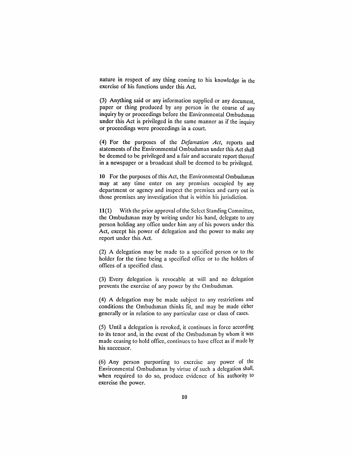nature in respect of any thing coming to his knowledge in the exercise of his functions under this Act.

(3) Anything said or any information supplied or any document, paper or thing produced by any person in the course of any inquiry by or proceedings before the Environmental Ombudsman under this Act is privileged in the same manner as if the inquiry or proceedings were proceedings in a court.

(4) For the purposes of the *Defamation Act,* reports and statements of the Environmental Ombudsman under this Act shall be deemed to be privileged and a fair and accurate report thereof in a newspaper or a broadcast shall be deemed to be privileged.

10 For the purposes of this Act, the Environmental Ombudsman may at any time enter on any premises occupied by any department or agency and inspect the premises and carry out in those premises any investigation that is within his jurisdiction.

11(1) With the prior approval of the Select Standing Committee, the Ombudsman may by writing under his hand, delegate to any person holding any office under him any of his powers under this Act, except his power of delegation and the power to make any report under this Act.

(2) A delegation may be made to a specified person or to the holder for the time being a specified office or to the holders of offices of a specified class.

(3) Every delegation is revocable at will and no delegation prevents the exercise of any power by the Ombudsman.

(4) A delegation may be made subject to any restrictions and conditions the Ombudsman thinks fit, and may be made either generally or in relation to any particular case or class of cases.

(5) Until a delegation is revoked, it continues in force according to its tenor and, in the event of the Ombudsman by whom it was made ceasing to hold office, continues to have effect as if made by his successor.

(6) Any person purporting to exercise any power of the Environmental Ombudsman by virtue of such a delegation shall, when required to do so, produce evidence of his authority to exercise the power.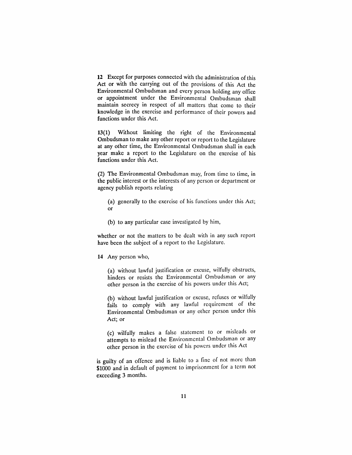**12** Except for purposes connected with the administration of this Act or with the carrying out of the provisions of this Act the Environmental Ombudsman and every person holding any office or appointment under the Environmental Ombudsman shall maintain secrecy in respect of all matters that come to their knowledge in the exercise and performance of their powers and functions under this Act.

13(1) Without limiting the right of the Environmental Ombudsman to make any other report or report to the Legislature at any other time, the Environmental Ombudsman shall in each year make a report to the Legislature on the exercise of his functions under this Act.

(2) The Environmental Ombudsman may, from time to time, in the public interest or the interests of any person or department or agency publish reports relating

- (a) generally to the exercise of his functions under this Act; or
- (b) to any particular case investigated by him,

whether or not the matters to be dealt with in any such report have been the subject of a report to the Legislature.

**14** Any person who,

(a) without lawful justification or excuse, wilfully obstructs, hinders or resists the Environmental Ombudsman or any other person in the exercise of his powers under this Act;

(b) without lawful justification or excuse, refuses or wilfully fails to comply with any lawful requirement of the Environmental Ombudsman or any other person under this Act; or

(c) wilfully makes a false statement to or misleads or attempts to mislead the Environmental Ombudsman or any other person in the exercise of his powers under this Act

is guilty of an offence and is liable to a fine of not more than \$1000 and in default of payment to imprisonment for a term not exceeding 3 months.